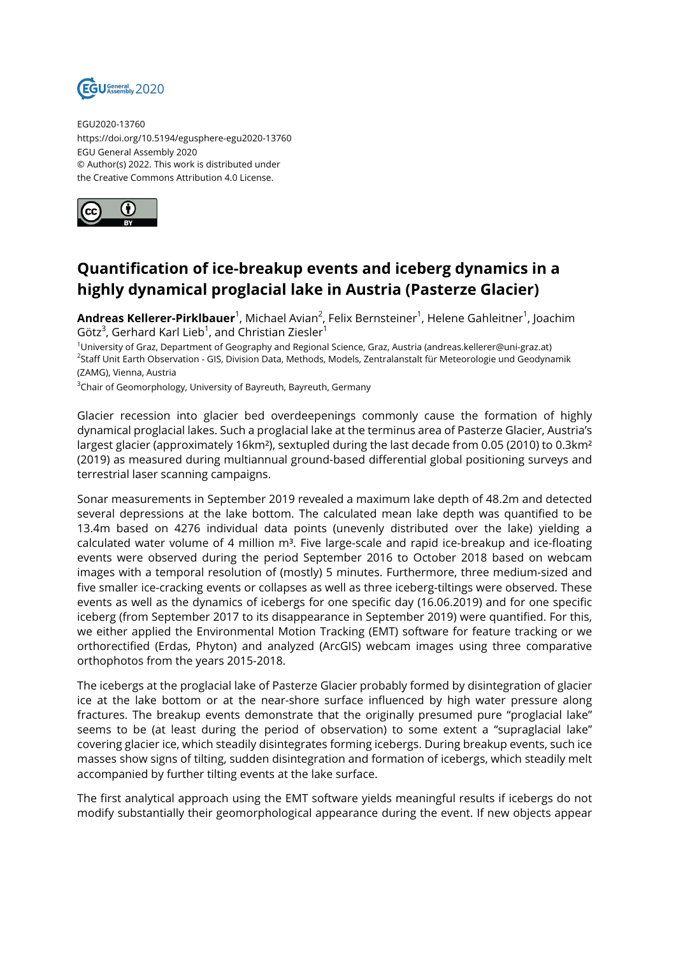

EGU2020-13760 https://doi.org/10.5194/egusphere-egu2020-13760 EGU General Assembly 2020 © Author(s) 2022. This work is distributed under the Creative Commons Attribution 4.0 License.



## **Quantification of ice-breakup events and iceberg dynamics in a highly dynamical proglacial lake in Austria (Pasterze Glacier)**

**Andreas Kellerer-Pirklbauer**<sup>1</sup>, Michael Avian<sup>2</sup>, Felix Bernsteiner<sup>1</sup>, Helene Gahleitner<sup>1</sup>, Joachim Götz $^3$ , Gerhard Karl Lieb $^1$ , and Christian Ziesler $^1$ 

<sup>1</sup>University of Graz, Department of Geography and Regional Science, Graz, Austria (andreas.kellerer@uni-graz.at) <sup>2</sup>Staff Unit Earth Observation - GIS, Division Data, Methods, Models, Zentralanstalt für Meteorologie und Geodynamik (ZAMG), Vienna, Austria

<sup>3</sup>Chair of Geomorphology, University of Bayreuth, Bayreuth, Germany

Glacier recession into glacier bed overdeepenings commonly cause the formation of highly dynamical proglacial lakes. Such a proglacial lake at the terminus area of Pasterze Glacier, Austria's largest glacier (approximately 16km<sup>2</sup>), sextupled during the last decade from 0.05 (2010) to 0.3km<sup>2</sup> (2019) as measured during multiannual ground-based differential global positioning surveys and terrestrial laser scanning campaigns.

Sonar measurements in September 2019 revealed a maximum lake depth of 48.2m and detected several depressions at the lake bottom. The calculated mean lake depth was quantified to be 13.4m based on 4276 individual data points (unevenly distributed over the lake) yielding a calculated water volume of 4 million m<sup>3</sup>. Five large-scale and rapid ice-breakup and ice-floating events were observed during the period September 2016 to October 2018 based on webcam images with a temporal resolution of (mostly) 5 minutes. Furthermore, three medium-sized and five smaller ice-cracking events or collapses as well as three iceberg-tiltings were observed. These events as well as the dynamics of icebergs for one specific day (16.06.2019) and for one specific iceberg (from September 2017 to its disappearance in September 2019) were quantified. For this, we either applied the Environmental Motion Tracking (EMT) software for feature tracking or we orthorectified (Erdas, Phyton) and analyzed (ArcGIS) webcam images using three comparative orthophotos from the years 2015-2018.

The icebergs at the proglacial lake of Pasterze Glacier probably formed by disintegration of glacier ice at the lake bottom or at the near-shore surface influenced by high water pressure along fractures. The breakup events demonstrate that the originally presumed pure "proglacial lake" seems to be (at least during the period of observation) to some extent a "supraglacial lake" covering glacier ice, which steadily disintegrates forming icebergs. During breakup events, such ice masses show signs of tilting, sudden disintegration and formation of icebergs, which steadily melt accompanied by further tilting events at the lake surface.

The first analytical approach using the EMT software yields meaningful results if icebergs do not modify substantially their geomorphological appearance during the event. If new objects appear